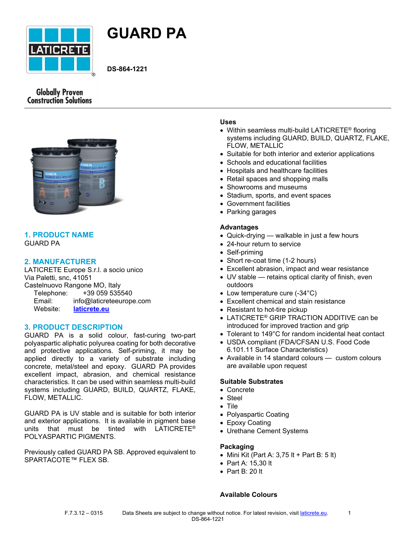



**DS-864-1221**

# **Globally Proven Construction Solutions**



# **1. PRODUCT NAME** GUARD PA

# **2. MANUFACTURER**

LATICRETE Europe S.r.l. a socio unico Via Paletti, snc, 41051 Castelnuovo Rangone MO, Italy Telephone: +39 059 535540 Email: info@laticreteeurope.com Website: **[laticrete.eu](http://www.laticrete.eu/)**

## **3. PRODUCT DESCRIPTION**

GUARD PA is a solid colour, fast-curing two-part polyaspartic aliphatic polyurea coating for both decorative and protective applications. Self-priming, it may be applied directly to a variety of substrate including concrete, metal/steel and epoxy. GUARD PA provides excellent impact, abrasion, and chemical resistance characteristics. It can be used within seamless multi-build systems including GUARD, BUILD, QUARTZ, FLAKE, FLOW, METALLIC.

GUARD PA is UV stable and is suitable for both interior and exterior applications. It is available in pigment base units that must be tinted with LATICRETE® POLYASPARTIC PIGMENTS.

Previously called GUARD PA SB. Approved equivalent to SPARTACOTE™ FLEX SB.

## **Uses**

- Within seamless multi-build LATICRETE<sup>®</sup> flooring systems including GUARD, BUILD, QUARTZ, FLAKE, FLOW, METALLIC
- Suitable for both interior and exterior applications
- Schools and educational facilities
- Hospitals and healthcare facilities
- Retail spaces and shopping malls
- Showrooms and museums
- Stadium, sports, and event spaces
- Government facilities
- Parking garages

## **Advantages**

- Quick-drying walkable in just a few hours
- 24-hour return to service
- Self-priming
- Short re-coat time (1-2 hours)
- Excellent abrasion, impact and wear resistance
- UV stable retains optical clarity of finish, even outdoors
- Low temperature cure (-34°C)
- Excellent chemical and stain resistance
- Resistant to hot-tire pickup
- LATICRETE® GRIP TRACTION ADDITIVE can be introduced for improved traction and grip
- Tolerant to 149°C for random incidental heat contact
- USDA compliant (FDA/CFSAN U.S. Food Code 6.101.11 Surface Characteristics)
- Available in 14 standard colours custom colours are available upon request

## **Suitable Substrates**

- Concrete
- Steel
- Tile
- Polyaspartic Coating
- Epoxy Coating
- Urethane Cement Systems

## **Packaging**

- Mini Kit (Part A:  $3,75$  It + Part B:  $5$  It)
- Part A: 15,30 lt
- Part B: 20 lt

## **Available Colours**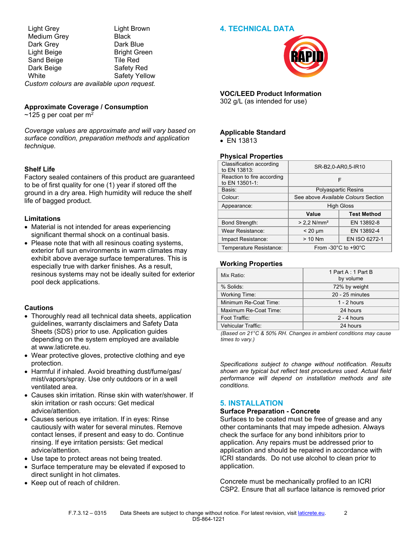## **4. TECHNICAL DATA**

Light Grey Light Brown Medium Grey **Black** Dark Grey Dark Blue Light Beige Bright Green Sand Beige Tile Red Dark Beige **Safety Red** White Safety Yellow *Custom colours are available upon request.*

## **Approximate Coverage / Consumption**

 $\sim$ 125 g per coat per m<sup>2</sup>

*Coverage values are approximate and will vary based on surface condition, preparation methods and application technique.*

## **Shelf Life**

Factory sealed containers of this product are guaranteed to be of first quality for one (1) year if stored off the ground in a dry area. High humidity will reduce the shelf life of bagged product.

## **Limitations**

- Material is not intended for areas experiencing significant thermal shock on a continual basis.
- Please note that with all resinous coating systems, exterior full sun environments in warm climates may exhibit above average surface temperatures. This is especially true with darker finishes. As a result, resinous systems may not be ideally suited for exterior pool deck applications.

## **Cautions**

- Thoroughly read all technical data sheets, application guidelines, warranty disclaimers and Safety Data Sheets (SDS) prior to use. Application guides depending on the system employed are available at [www.laticrete.eu](file:///C:/inetpub/wwwroot/LATICRETEAUTHORING/Website/ui/data/DatasheetTemplates/~/link.aspx%3F_id=0808B909783D4418B86C80B9CB5224EA&_z=z).
- Wear protective gloves, protective clothing and eye protection.
- Harmful if inhaled. Avoid breathing dust/fume/gas/ mist/vapors/spray. Use only outdoors or in a well ventilated area.
- Causes skin irritation. Rinse skin with water/shower. If skin irritation or rash occurs: Get medical advice/attention.
- Causes serious eye irritation. If in eyes: Rinse cautiously with water for several minutes. Remove contact lenses, if present and easy to do. Continue rinsing. If eye irritation persists: Get medical advice/attention.
- Use tape to protect areas not being treated.
- Surface temperature may be elevated if exposed to direct sunlight in hot climates.
- Keep out of reach of children.



# **VOC/LEED Product Information**

302 g/L (as intended for use)

## **Applicable Standard**

• EN 13813

## **Physical Properties**

| Classification according<br>to EN 13813:     | SR-B2,0-AR0,5-IR10                        |                    |
|----------------------------------------------|-------------------------------------------|--------------------|
| Reaction to fire according<br>to EN 13501-1: | F                                         |                    |
| Basis:                                       | Polyaspartic Resins                       |                    |
| Colour:                                      | See above Available Colours Section       |                    |
| Appearance:                                  | <b>High Gloss</b>                         |                    |
|                                              | Value                                     | <b>Test Method</b> |
| <b>Bond Strength:</b>                        | $> 2.2$ N/mm <sup>2</sup>                 | EN 13892-8         |
| Wear Resistance:                             | $< 20 \mu m$                              | EN 13892-4         |
| Impact Resistance:                           | $> 10$ Nm                                 | EN ISO 6272-1      |
| Temperature Resistance:                      | From -30 $^{\circ}$ C to +90 $^{\circ}$ C |                    |

#### **Working Properties**

| Mix Ratio:            | 1 Part A: 1 Part B<br>by volume |
|-----------------------|---------------------------------|
| % Solids:             | 72% by weight                   |
| <b>Working Time:</b>  | 20 - 25 minutes                 |
| Minimum Re-Coat Time: | $1 - 2$ hours                   |
| Maximum Re-Coat Time: | 24 hours                        |
| Foot Traffic:         | $2 - 4$ hours                   |
| Vehicular Traffic:    | 24 hours                        |

*(Based on 21°C & 50% RH. Changes in ambient conditions may cause times to vary.)*

*Specifications subject to change without notification. Results shown are typical but reflect test procedures used. Actual field performance will depend on installation methods and site conditions.*

# **5. INSTALLATION**

#### **Surface Preparation - Concrete**

Surfaces to be coated must be free of grease and any other contaminants that may impede adhesion. Always check the surface for any bond inhibitors prior to application. Any repairs must be addressed prior to application and should be repaired in accordance with ICRI standards. Do not use alcohol to clean prior to application.

Concrete must be mechanically profiled to an ICRI CSP2. Ensure that all surface laitance is removed prior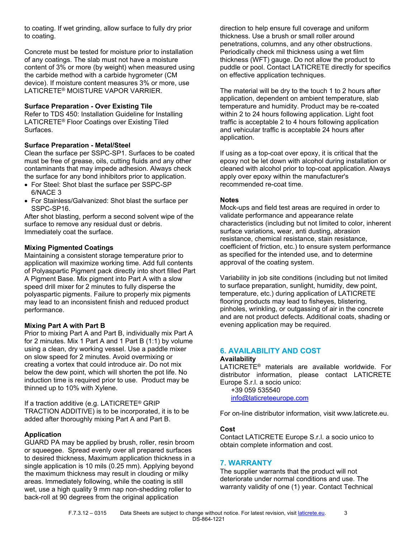to coating. If wet grinding, allow surface to fully dry prior to coating.

Concrete must be tested for moisture prior to installation of any coatings. The slab must not have a moisture content of 3% or more (by weight) when measured using the carbide method with a carbide hygrometer (CM device). If moisture content measures 3% or more, use LATICRETE® MOISTURE VAPOR VARRIER.

## **Surface Preparation - Over Existing Tile**

Refer to TDS 450: Installation Guideline for Installing LATICRETE® Floor Coatings over Existing Tiled Surfaces.

## **Surface Preparation - Metal/Steel**

Clean the surface per SSPC-SP1. Surfaces to be coated must be free of grease, oils, cutting fluids and any other contaminants that may impede adhesion. Always check the surface for any bond inhibitors prior to application.

- For Steel: Shot blast the surface per SSPC-SP 6/NACE 3
- For Stainless/Galvanized: Shot blast the surface per SSPC-SP16.

After shot blasting, perform a second solvent wipe of the surface to remove any residual dust or debris. Immediately coat the surface.

## **Mixing Pigmented Coatings**

Maintaining a consistent storage temperature prior to application will maximize working time. Add full contents of Polyaspartic Pigment pack directly into short filled Part A Pigment Base. Mix pigment into Part A with a slow speed drill mixer for 2 minutes to fully disperse the polyaspartic pigments. Failure to properly mix pigments may lead to an inconsistent finish and reduced product performance.

#### **Mixing Part A with Part B**

Prior to mixing Part A and Part B, individually mix Part A for 2 minutes. Mix 1 Part A and 1 Part B (1:1) by volume using a clean, dry working vessel. Use a paddle mixer on slow speed for 2 minutes. Avoid overmixing or creating a vortex that could introduce air. Do not mix below the dew point, which will shorten the pot life. No induction time is required prior to use. Product may be thinned up to 10% with Xylene.

If a traction additive (e.g. LATICRETE® GRIP TRACTION ADDITIVE) is to be incorporated, it is to be added after thoroughly mixing Part A and Part B.

## **Application**

GUARD PA may be applied by brush, roller, resin broom or squeegee. Spread evenly over all prepared surfaces to desired thickness, Maximum application thickness in a single application is 10 mils (0.25 mm). Applying beyond the maximum thickness may result in clouding or milky areas. Immediately following, while the coating is still wet, use a high quality 9 mm nap non-shedding roller to back-roll at 90 degrees from the original application

direction to help ensure full coverage and uniform thickness. Use a brush or small roller around penetrations, columns, and any other obstructions. Periodically check mil thickness using a wet film thickness (WFT) gauge. Do not allow the product to puddle or pool. Contact LATICRETE directly for specifics on effective application techniques.

The material will be dry to the touch 1 to 2 hours after application, dependent on ambient temperature, slab temperature and humidity. Product may be re-coated within 2 to 24 hours following application. Light foot traffic is acceptable 2 to 4 hours following application and vehicular traffic is acceptable 24 hours after application.

If using as a top-coat over epoxy, it is critical that the epoxy not be let down with alcohol during installation or cleaned with alcohol prior to top-coat application. Always apply over epoxy within the manufacturer's recommended re-coat time.

#### **Notes**

Mock-ups and field test areas are required in order to validate performance and appearance relate characteristics (including but not limited to color, inherent surface variations, wear, anti dusting, abrasion resistance, chemical resistance, stain resistance, coefficient of friction, etc.) to ensure system performance as specified for the intended use, and to determine approval of the coating system.

Variability in job site conditions (including but not limited to surface preparation, sunlight, humidity, dew point, temperature, etc.) during application of LATICRETE flooring products may lead to fisheyes, blistering, pinholes, wrinkling, or outgassing of air in the concrete and are not product defects. Additional coats, shading or evening application may be required.

## **6. AVAILABILITY AND COST**

#### **Availability**

LATICRETE® materials are available worldwide. For distributor information, please contact LATICRETE Europe S.r.l. a socio unico:

 +39 059 535540 [info@laticreteeurope.com](mailto:info@laticreteeurope.com)

For on-line distributor information, visit www.laticrete.eu.

#### **Cost**

Contact LATICRETE Europe S.r.l. a socio unico to obtain complete information and cost.

#### **7. WARRANTY**

The supplier warrants that the product will not deteriorate under normal conditions and use. The warranty validity of one (1) year. Contact Technical